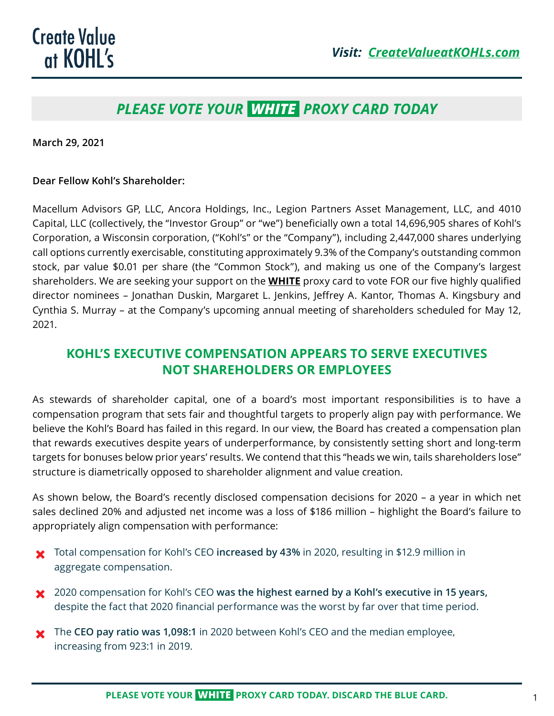## *PLEASE VOTE YOUR WHITE PROXY CARD TODAY*

**March 29, 2021**

#### **Dear Fellow Kohl's Shareholder:**

Macellum Advisors GP, LLC, Ancora Holdings, Inc., Legion Partners Asset Management, LLC, and 4010 Capital, LLC (collectively, the "Investor Group" or "we") beneficially own a total 14,696,905 shares of Kohl's Corporation, a Wisconsin corporation, ("Kohl's" or the "Company"), including 2,447,000 shares underlying call options currently exercisable, constituting approximately 9.3% of the Company's outstanding common stock, par value \$0.01 per share (the "Common Stock"), and making us one of the Company's largest shareholders. We are seeking your support on the **WHITE** proxy card to vote FOR our five highly qualified director nominees – Jonathan Duskin, Margaret L. Jenkins, Jeffrey A. Kantor, Thomas A. Kingsbury and Cynthia S. Murray – at the Company's upcoming annual meeting of shareholders scheduled for May 12, 2021.

### **KOHL'S EXECUTIVE COMPENSATION APPEARS TO SERVE EXECUTIVES NOT SHAREHOLDERS OR EMPLOYEES**

As stewards of shareholder capital, one of a board's most important responsibilities is to have a compensation program that sets fair and thoughtful targets to properly align pay with performance. We believe the Kohl's Board has failed in this regard. In our view, the Board has created a compensation plan that rewards executives despite years of underperformance, by consistently setting short and long-term targets for bonuses below prior years' results. We contend that this "heads we win, tails shareholders lose" structure is diametrically opposed to shareholder alignment and value creation.

As shown below, the Board's recently disclosed compensation decisions for 2020 – a year in which net sales declined 20% and adjusted net income was a loss of \$186 million – highlight the Board's failure to appropriately align compensation with performance:

- $\star$  Total compensation for Kohl's CEO increased by 43% in 2020, resulting in \$12.9 million in aggregate compensation.
- <sup>2020</sup> compensation for Kohl's CEO was the highest earned by a Kohl's executive in 15 years, despite the fact that 2020 financial performance was the worst by far over that time period.
- **★** The CEO pay ratio was 1,098:1 in 2020 between Kohl's CEO and the median employee, increasing from 923:1 in 2019.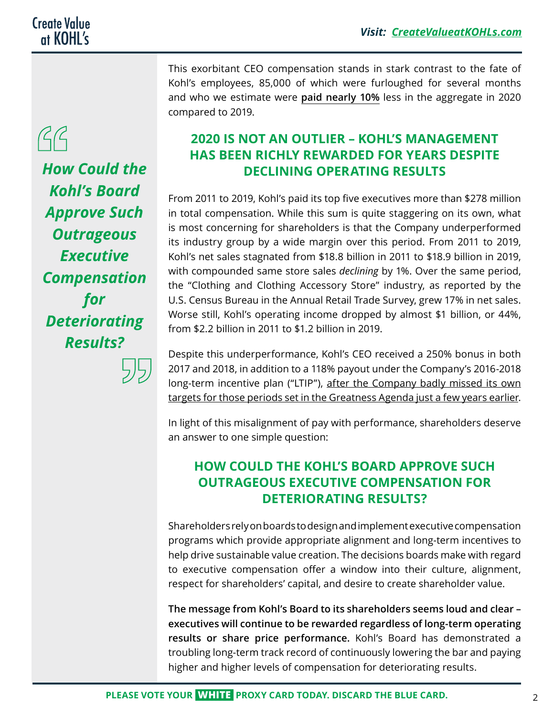# $\beta\beta$

*How Could the Kohl's Board Approve Such Outrageous Executive Compensation for Deteriorating Results?*

This exorbitant CEO compensation stands in stark contrast to the fate of Kohl's employees, 85,000 of which were furloughed for several months and who we estimate were **paid nearly 10%** less in the aggregate in 2020 compared to 2019.

## **2020 IS NOT AN OUTLIER – KOHL'S MANAGEMENT HAS BEEN RICHLY REWARDED FOR YEARS DESPITE DECLINING OPERATING RESULTS**

From 2011 to 2019, Kohl's paid its top five executives more than \$278 million in total compensation. While this sum is quite staggering on its own, what is most concerning for shareholders is that the Company underperformed its industry group by a wide margin over this period. From 2011 to 2019, Kohl's net sales stagnated from \$18.8 billion in 2011 to \$18.9 billion in 2019, with compounded same store sales *declining* by 1%. Over the same period, the "Clothing and Clothing Accessory Store" industry, as reported by the U.S. Census Bureau in the Annual Retail Trade Survey, grew 17% in net sales. Worse still, Kohl's operating income dropped by almost \$1 billion, or 44%, from \$2.2 billion in 2011 to \$1.2 billion in 2019.

Despite this underperformance, Kohl's CEO received a 250% bonus in both 2017 and 2018, in addition to a 118% payout under the Company's 2016-2018 long-term incentive plan ("LTIP"), after the Company badly missed its own targets for those periods set in the Greatness Agenda just a few years earlier.

In light of this misalignment of pay with performance, shareholders deserve an answer to one simple question:

## **HOW COULD THE KOHL'S BOARD APPROVE SUCH OUTRAGEOUS EXECUTIVE COMPENSATION FOR DETERIORATING RESULTS?**

Shareholders rely on boards to design and implement executive compensation programs which provide appropriate alignment and long-term incentives to help drive sustainable value creation. The decisions boards make with regard to executive compensation offer a window into their culture, alignment, respect for shareholders' capital, and desire to create shareholder value.

**The message from Kohl's Board to its shareholders seems loud and clear – executives will continue to be rewarded regardless of long-term operating results or share price performance.** Kohl's Board has demonstrated a troubling long-term track record of continuously lowering the bar and paying higher and higher levels of compensation for deteriorating results.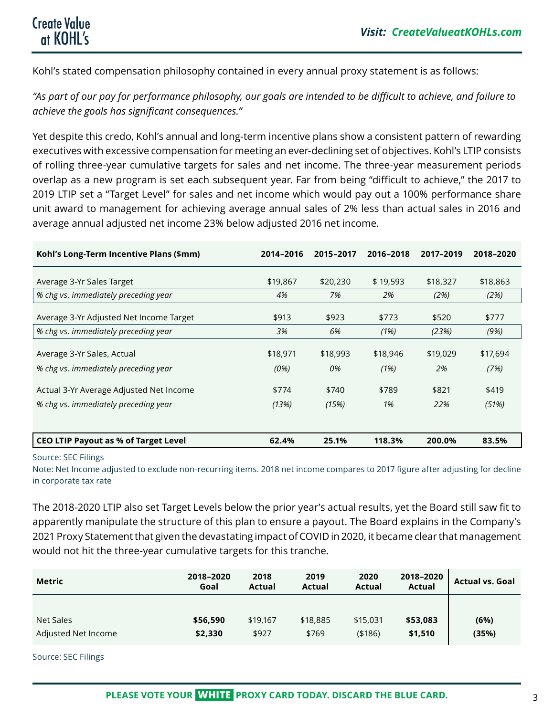Kohl's stated compensation philosophy contained in every annual proxy statement is as follows:

*"As part of our pay for performance philosophy, our goals are intended to be difficult to achieve, and failure to achieve the goals has significant consequences."*

Yet despite this credo, Kohl's annual and long-term incentive plans show a consistent pattern of rewarding executives with excessive compensation for meeting an ever-declining set of objectives. Kohl's LTIP consists of rolling three-year cumulative targets for sales and net income. The three-year measurement periods overlap as a new program is set each subsequent year. Far from being "difficult to achieve," the 2017 to 2019 LTIP set a "Target Level" for sales and net income which would pay out a 100% performance share unit award to management for achieving average annual sales of 2% less than actual sales in 2016 and average annual adjusted net income 23% below adjusted 2016 net income.

| Kohl's Long-Term Incentive Plans (\$mm)     | 2014-2016 | 2015-2017 | 2016-2018 | 2017-2019 | 2018-2020 |
|---------------------------------------------|-----------|-----------|-----------|-----------|-----------|
| Average 3-Yr Sales Target                   | \$19,867  | \$20,230  | \$19,593  | \$18,327  | \$18,863  |
| % chg vs. immediately preceding year        | 4%        | 7%        | 2%        | (2%)      | (2%)      |
| Average 3-Yr Adjusted Net Income Target     | \$913     | \$923     | \$773     | \$520     | \$777     |
| % chg vs. immediately preceding year        | 3%        | 6%        | (1%)      | (23%)     | (9%)      |
| Average 3-Yr Sales, Actual                  | \$18,971  | \$18,993  | \$18,946  | \$19,029  | \$17,694  |
| % chg vs. immediately preceding year        | (0%)      | 0%        | (1%)      | 2%        | (7%)      |
| Actual 3-Yr Average Adjusted Net Income     | \$774     | \$740     | \$789     | \$821     | \$419     |
| % chg vs. immediately preceding year        | (13%)     | (15%)     | 1%        | 22%       | (51%)     |
|                                             |           |           |           |           |           |
| <b>CEO LTIP Payout as % of Target Level</b> | 62.4%     | 25.1%     | 118.3%    | 200.0%    | 83.5%     |

#### Source: SEC Filings

Note: Net Income adjusted to exclude non-recurring items. 2018 net income compares to 2017 figure after adjusting for decline in corporate tax rate

The 2018-2020 LTIP also set Target Levels below the prior year's actual results, yet the Board still saw fit to apparently manipulate the structure of this plan to ensure a payout. The Board explains in the Company's 2021 Proxy Statement that given the devastating impact of COVID in 2020, it became clear that management would not hit the three-year cumulative targets for this tranche.

| <b>Metric</b>       | 2018-2020<br>Goal | 2018<br>Actual | 2019<br>Actual | 2020<br><b>Actual</b> | 2018-2020<br>Actual | <b>Actual vs. Goal</b> |
|---------------------|-------------------|----------------|----------------|-----------------------|---------------------|------------------------|
| Net Sales           | \$56,590          | \$19,167       | \$18,885       | \$15,031              | \$53,083            | (6%)<br>(35%)          |
| Adjusted Net Income | \$2,330           | \$927          | \$769          | ( \$186)              | \$1,510             |                        |

Source: SEC Filings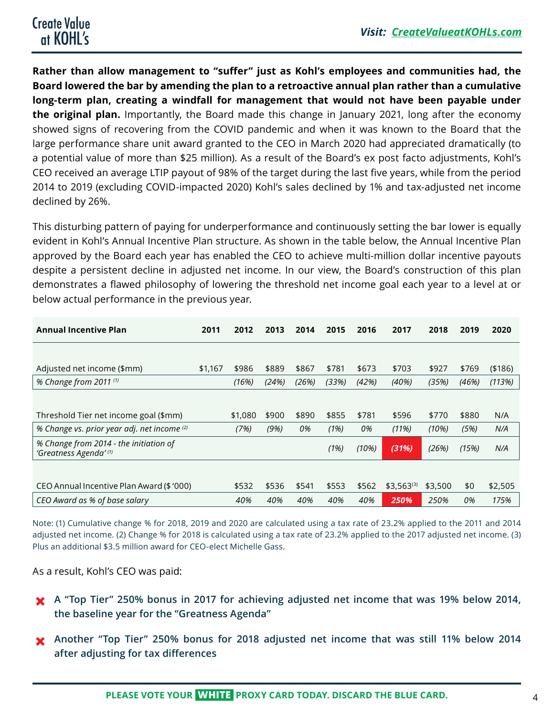**Rather than allow management to "suffer" just as Kohl's employees and communities had, the Board lowered the bar by amending the plan to a retroactive annual plan rather than a cumulative long-term plan, creating a windfall for management that would not have been payable under the original plan.** Importantly, the Board made this change in January 2021, long after the economy showed signs of recovering from the COVID pandemic and when it was known to the Board that the large performance share unit award granted to the CEO in March 2020 had appreciated dramatically (to a potential value of more than \$25 million). As a result of the Board's ex post facto adjustments, Kohl's CEO received an average LTIP payout of 98% of the target during the last five years, while from the period 2014 to 2019 (excluding COVID-impacted 2020) Kohl's sales declined by 1% and tax-adjusted net income declined by 26%.

This disturbing pattern of paying for underperformance and continuously setting the bar lower is equally evident in Kohl's Annual Incentive Plan structure. As shown in the table below, the Annual Incentive Plan approved by the Board each year has enabled the CEO to achieve multi-million dollar incentive payouts despite a persistent decline in adjusted net income. In our view, the Board's construction of this plan demonstrates a flawed philosophy of lowering the threshold net income goal each year to a level at or below actual performance in the previous year.

| <b>Annual Incentive Plan</b>                                    | 2011    | 2012    | 2013  | 2014  | 2015  | 2016  | 2017           | 2018    | 2019  | 2020     |
|-----------------------------------------------------------------|---------|---------|-------|-------|-------|-------|----------------|---------|-------|----------|
|                                                                 |         |         |       |       |       |       |                |         |       |          |
| Adjusted net income (\$mm)                                      | \$1,167 | \$986   | \$889 | \$867 | \$781 | \$673 | \$703          | \$927   | \$769 | ( \$186) |
| % Change from 2011 (1)                                          |         | (16%)   | (24%) | (26%) | (33%) | (42%) | (40%)          | (35%)   | (46%) | (113%)   |
|                                                                 |         |         |       |       |       |       |                |         |       |          |
| Threshold Tier net income goal (\$mm)                           |         | \$1,080 | \$900 | \$890 | \$855 | \$781 | \$596          | \$770   | \$880 | N/A      |
| % Change vs. prior year adj. net income (2)                     |         | (7%)    | (9%)  | 0%    | (1%)  | 0%    | (11%)          | (10%)   | (5%)  | N/A      |
| % Change from 2014 - the initiation of<br>'Greatness Agenda'(1) |         |         |       |       | (1%)  | (10%) | (31%)          | (26%)   | (15%) | N/A      |
|                                                                 |         |         |       |       |       |       |                |         |       |          |
| CEO Annual Incentive Plan Award (\$1000)                        |         | \$532   | \$536 | \$541 | \$553 | \$562 | $$3,563^{(3)}$ | \$3,500 | \$0   | \$2,505  |
| CEO Award as % of base salary                                   |         | 40%     | 40%   | 40%   | 40%   | 40%   | 250%           | 250%    | 0%    | 175%     |

Note: (1) Cumulative change % for 2018, 2019 and 2020 are calculated using a tax rate of 23.2% applied to the 2011 and 2014 adjusted net income. (2) Change % for 2018 is calculated using a tax rate of 23.2% applied to the 2017 adjusted net income. (3) Plus an additional \$3.5 million award for CEO-elect Michelle Gass.

As a result, Kohl's CEO was paid:

- <sup>1</sup> A "Top Tier" 250% bonus in 2017 for achieving adjusted net income that was 19% below 2014, **the baseline year for the "Greatness Agenda"**
- **X** Another "Top Tier" 250% bonus for 2018 adjusted net income that was still 11% below 2014 **after adjusting for tax differences**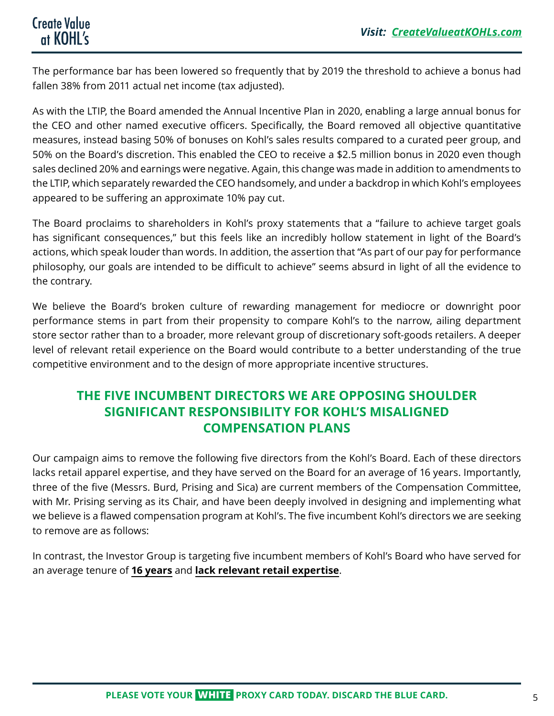The performance bar has been lowered so frequently that by 2019 the threshold to achieve a bonus had fallen 38% from 2011 actual net income (tax adjusted).

As with the LTIP, the Board amended the Annual Incentive Plan in 2020, enabling a large annual bonus for the CEO and other named executive officers. Specifically, the Board removed all objective quantitative measures, instead basing 50% of bonuses on Kohl's sales results compared to a curated peer group, and 50% on the Board's discretion. This enabled the CEO to receive a \$2.5 million bonus in 2020 even though sales declined 20% and earnings were negative. Again, this change was made in addition to amendments to the LTIP, which separately rewarded the CEO handsomely, and under a backdrop in which Kohl's employees appeared to be suffering an approximate 10% pay cut.

The Board proclaims to shareholders in Kohl's proxy statements that a "failure to achieve target goals has significant consequences," but this feels like an incredibly hollow statement in light of the Board's actions, which speak louder than words. In addition, the assertion that "As part of our pay for performance philosophy, our goals are intended to be difficult to achieve" seems absurd in light of all the evidence to the contrary.

We believe the Board's broken culture of rewarding management for mediocre or downright poor performance stems in part from their propensity to compare Kohl's to the narrow, ailing department store sector rather than to a broader, more relevant group of discretionary soft-goods retailers. A deeper level of relevant retail experience on the Board would contribute to a better understanding of the true competitive environment and to the design of more appropriate incentive structures.

## **THE FIVE INCUMBENT DIRECTORS WE ARE OPPOSING SHOULDER SIGNIFICANT RESPONSIBILITY FOR KOHL'S MISALIGNED COMPENSATION PLANS**

Our campaign aims to remove the following five directors from the Kohl's Board. Each of these directors lacks retail apparel expertise, and they have served on the Board for an average of 16 years. Importantly, three of the five (Messrs. Burd, Prising and Sica) are current members of the Compensation Committee, with Mr. Prising serving as its Chair, and have been deeply involved in designing and implementing what we believe is a flawed compensation program at Kohl's. The five incumbent Kohl's directors we are seeking to remove are as follows:

In contrast, the Investor Group is targeting five incumbent members of Kohl's Board who have served for an average tenure of **16 years** and **lack relevant retail expertise**.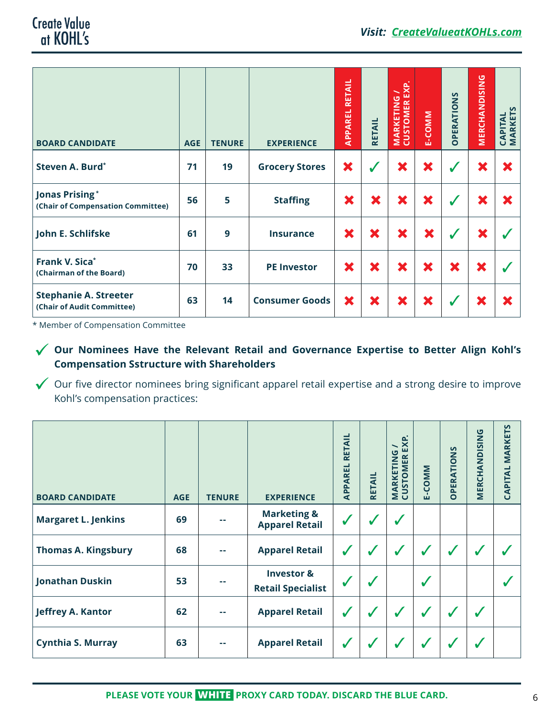| <b>BOARD CANDIDATE</b>                                     | <b>AGE</b> | <b>TENURE</b> | <b>EXPERIENCE</b>     | RETAIL<br>APPAREL | <b>RETAIL</b> | <b>MARKETING /<br/>CUSTOMER EXP.</b> | E-COMM   | <b>OPERATIONS</b> | MERCHANDISING | <b>CAPITAL<br/>MARKETS</b> |
|------------------------------------------------------------|------------|---------------|-----------------------|-------------------|---------------|--------------------------------------|----------|-------------------|---------------|----------------------------|
| Steven A. Burd*                                            | 71         | 19            | <b>Grocery Stores</b> | ×                 | $\checkmark$  | ×                                    | ×        | $\checkmark$      | ×             | ×                          |
| <b>Jonas Prising*</b><br>(Chair of Compensation Committee) | 56         | 5             | <b>Staffing</b>       | ×                 | ×             | ×                                    | ×        | $\checkmark$      | ×             | ×                          |
| John E. Schlifske                                          | 61         | 9             | <b>Insurance</b>      | ×                 | ×             | ×                                    | $\bm{x}$ | $\checkmark$      | ×             |                            |
| Frank V. Sica*<br>(Chairman of the Board)                  | 70         | 33            | <b>PE Investor</b>    | ×                 | ×             | ×                                    | ×        | ×                 | ×             |                            |
| <b>Stephanie A. Streeter</b><br>(Chair of Audit Committee) | 63         | 14            | <b>Consumer Goods</b> | ×                 | ×             | ×                                    | ×        | $\checkmark$      | ×             | ×                          |

\* Member of Compensation Committee

#### ü **Our Nominees Have the Relevant Retail and Governance Expertise to Better Align Kohl's Compensation Sstructure with Shareholders**

 $\checkmark$  Our five director nominees bring significant apparel retail expertise and a strong desire to improve Kohl's compensation practices:

| <b>BOARD CANDIDATE</b>     | <b>AGE</b> | <b>TENURE</b> | <b>EXPERIENCE</b>                                 | RETAIL<br>APPAREL | <b>RETAIL</b> | EXP.<br>$\overline{\phantom{0}}$<br>MARKETING<br><b>CUSTOMER</b> | E-COMM       | <b>OPERATIONS</b> | MERCHANDISING | <b>MARKETS</b><br>CAPITAL |
|----------------------------|------------|---------------|---------------------------------------------------|-------------------|---------------|------------------------------------------------------------------|--------------|-------------------|---------------|---------------------------|
| <b>Margaret L. Jenkins</b> | 69         | --            | <b>Marketing &amp;</b><br><b>Apparel Retail</b>   | $\checkmark$      | $\checkmark$  | √                                                                |              |                   |               |                           |
| <b>Thomas A. Kingsbury</b> | 68         | --            | <b>Apparel Retail</b>                             | $\checkmark$      | $\checkmark$  | $\checkmark$                                                     | $\checkmark$ | $\checkmark$      | $\checkmark$  |                           |
| <b>Jonathan Duskin</b>     | 53         | --            | <b>Investor &amp;</b><br><b>Retail Specialist</b> | √                 |               |                                                                  | $\checkmark$ |                   |               |                           |
| Jeffrey A. Kantor          | 62         | - 1           | <b>Apparel Retail</b>                             | $\checkmark$      | ✔             | $\checkmark$                                                     | $\checkmark$ | $\checkmark$      | $\checkmark$  |                           |
| <b>Cynthia S. Murray</b>   | 63         | --            | <b>Apparel Retail</b>                             | $\checkmark$      | $\checkmark$  |                                                                  |              | $\checkmark$      | √             |                           |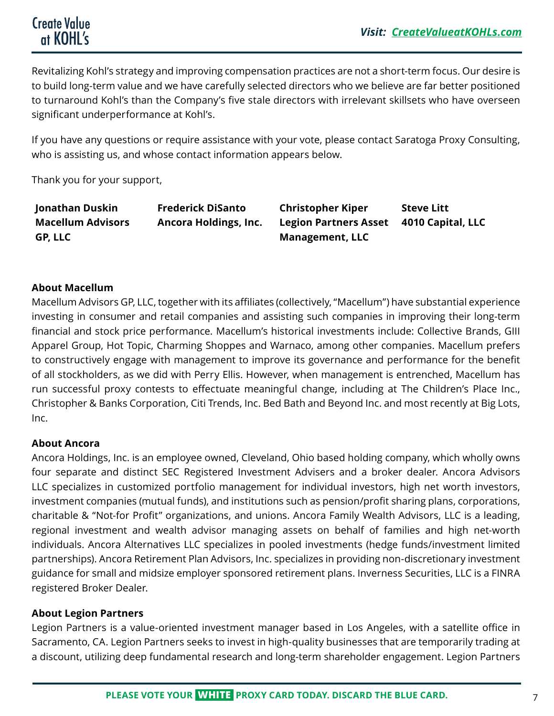Revitalizing Kohl's strategy and improving compensation practices are not a short-term focus. Our desire is to build long-term value and we have carefully selected directors who we believe are far better positioned to turnaround Kohl's than the Company's five stale directors with irrelevant skillsets who have overseen significant underperformance at Kohl's.

If you have any questions or require assistance with your vote, please contact Saratoga Proxy Consulting, who is assisting us, and whose contact information appears below.

Thank you for your support,

| Jonathan Duskin          | <b>Frederick DiSanto</b> | <b>Christopher Kiper</b>     | <b>Steve Litt</b> |
|--------------------------|--------------------------|------------------------------|-------------------|
| <b>Macellum Advisors</b> | Ancora Holdings, Inc.    | <b>Legion Partners Asset</b> | 4010 Capital, LLC |
| GP, LLC                  |                          | <b>Management, LLC</b>       |                   |

#### **About Macellum**

Macellum Advisors GP, LLC, together with its affiliates (collectively, "Macellum") have substantial experience investing in consumer and retail companies and assisting such companies in improving their long-term financial and stock price performance. Macellum's historical investments include: Collective Brands, GIII Apparel Group, Hot Topic, Charming Shoppes and Warnaco, among other companies. Macellum prefers to constructively engage with management to improve its governance and performance for the benefit of all stockholders, as we did with Perry Ellis. However, when management is entrenched, Macellum has run successful proxy contests to effectuate meaningful change, including at The Children's Place Inc., Christopher & Banks Corporation, Citi Trends, Inc. Bed Bath and Beyond Inc. and most recently at Big Lots, Inc.

#### **About Ancora**

Ancora Holdings, Inc. is an employee owned, Cleveland, Ohio based holding company, which wholly owns four separate and distinct SEC Registered Investment Advisers and a broker dealer. Ancora Advisors LLC specializes in customized portfolio management for individual investors, high net worth investors, investment companies (mutual funds), and institutions such as pension/profit sharing plans, corporations, charitable & "Not-for Profit" organizations, and unions. Ancora Family Wealth Advisors, LLC is a leading, regional investment and wealth advisor managing assets on behalf of families and high net-worth individuals. Ancora Alternatives LLC specializes in pooled investments (hedge funds/investment limited partnerships). Ancora Retirement Plan Advisors, Inc. specializes in providing non-discretionary investment guidance for small and midsize employer sponsored retirement plans. Inverness Securities, LLC is a FINRA registered Broker Dealer.

#### **About Legion Partners**

Legion Partners is a value-oriented investment manager based in Los Angeles, with a satellite office in Sacramento, CA. Legion Partners seeks to invest in high-quality businesses that are temporarily trading at a discount, utilizing deep fundamental research and long-term shareholder engagement. Legion Partners